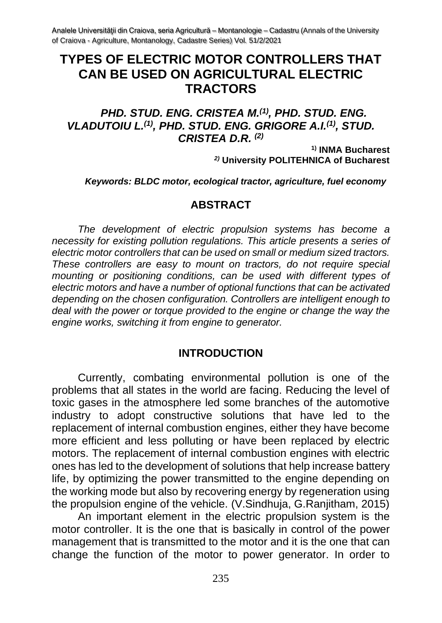# **TYPES OF ELECTRIC MOTOR CONTROLLERS THAT CAN BE USED ON AGRICULTURAL ELECTRIC TRACTORS**

#### *PHD. STUD. ENG. CRISTEA M.(1), PHD. STUD. ENG. VLADUTOIU L.(1) , PHD. STUD. ENG. GRIGORE A.I.(1) , STUD. CRISTEA D.R. (2)*

**1) INMA Bucharest** *2)* **University POLITEHNICA of Bucharest**

*Keywords: BLDC motor, ecological tractor, agriculture, fuel economy*

#### **ABSTRACT**

*The development of electric propulsion systems has become a necessity for existing pollution regulations. This article presents a series of electric motor controllers that can be used on small or medium sized tractors. These controllers are easy to mount on tractors, do not require special mounting or positioning conditions, can be used with different types of electric motors and have a number of optional functions that can be activated depending on the chosen configuration. Controllers are intelligent enough to deal with the power or torque provided to the engine or change the way the engine works, switching it from engine to generator.*

#### **INTRODUCTION**

Currently, combating environmental pollution is one of the problems that all states in the world are facing. Reducing the level of toxic gases in the atmosphere led some branches of the automotive industry to adopt constructive solutions that have led to the replacement of internal combustion engines, either they have become more efficient and less polluting or have been replaced by electric motors. The replacement of internal combustion engines with electric ones has led to the development of solutions that help increase battery life, by optimizing the power transmitted to the engine depending on the working mode but also by recovering energy by regeneration using the propulsion engine of the vehicle. (V.Sindhuja, G.Ranjitham, 2015)

An important element in the electric propulsion system is the motor controller. It is the one that is basically in control of the power management that is transmitted to the motor and it is the one that can change the function of the motor to power generator. In order to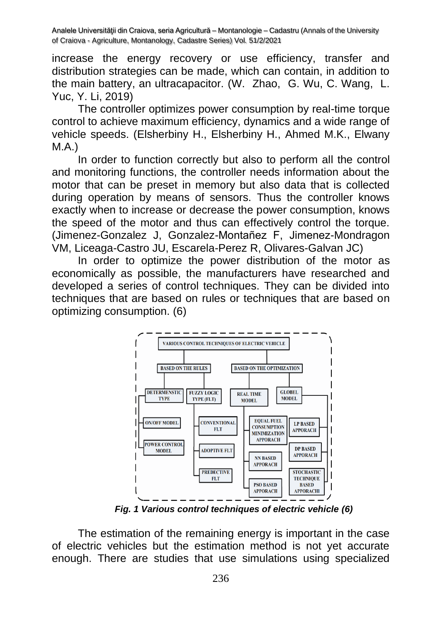increase the energy recovery or use efficiency, transfer and distribution strategies can be made, which can contain, in addition to the main battery, an ultracapacitor. (W. Zhao, G. Wu, C. Wang, L. Yuc, Y. Li, 2019)

The controller optimizes power consumption by real-time torque control to achieve maximum efficiency, dynamics and a wide range of vehicle speeds. (Elsherbiny H., Elsherbiny H., Ahmed M.K., Elwany M.A.)

In order to function correctly but also to perform all the control and monitoring functions, the controller needs information about the motor that can be preset in memory but also data that is collected during operation by means of sensors. Thus the controller knows exactly when to increase or decrease the power consumption, knows the speed of the motor and thus can effectively control the torque. (Jimenez-Gonzalez J, Gonzalez-Montañez F, Jimenez-Mondragon VM, Liceaga-Castro JU, Escarela-Perez R, Olivares-Galvan JC)

In order to optimize the power distribution of the motor as economically as possible, the manufacturers have researched and developed a series of control techniques. They can be divided into techniques that are based on rules or techniques that are based on optimizing consumption. (6)



*Fig. 1 Various control techniques of electric vehicle (6)*

The estimation of the remaining energy is important in the case of electric vehicles but the estimation method is not yet accurate enough. There are studies that use simulations using specialized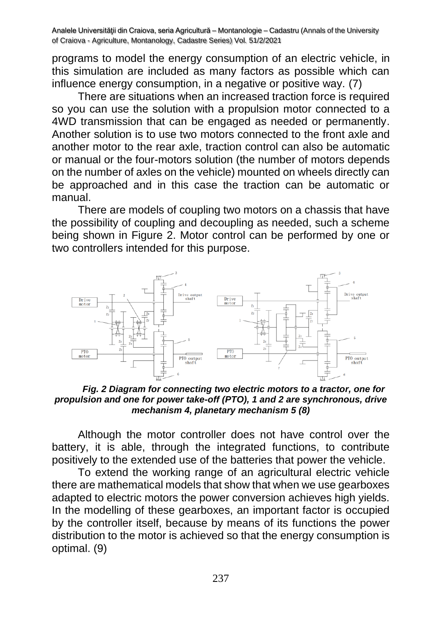programs to model the energy consumption of an electric vehicle, in this simulation are included as many factors as possible which can influence energy consumption, in a negative or positive way. (7)

There are situations when an increased traction force is required so you can use the solution with a propulsion motor connected to a 4WD transmission that can be engaged as needed or permanently. Another solution is to use two motors connected to the front axle and another motor to the rear axle, traction control can also be automatic or manual or the four-motors solution (the number of motors depends on the number of axles on the vehicle) mounted on wheels directly can be approached and in this case the traction can be automatic or manual.

There are models of coupling two motors on a chassis that have the possibility of coupling and decoupling as needed, such a scheme being shown in Figure 2. Motor control can be performed by one or two controllers intended for this purpose.



*Fig. 2 Diagram for connecting two electric motors to a tractor, one for propulsion and one for power take-off (PTO), 1 and 2 are synchronous, drive mechanism 4, planetary mechanism 5 (8)*

Although the motor controller does not have control over the battery, it is able, through the integrated functions, to contribute positively to the extended use of the batteries that power the vehicle.

To extend the working range of an agricultural electric vehicle there are mathematical models that show that when we use gearboxes adapted to electric motors the power conversion achieves high yields. In the modelling of these gearboxes, an important factor is occupied by the controller itself, because by means of its functions the power distribution to the motor is achieved so that the energy consumption is optimal. (9)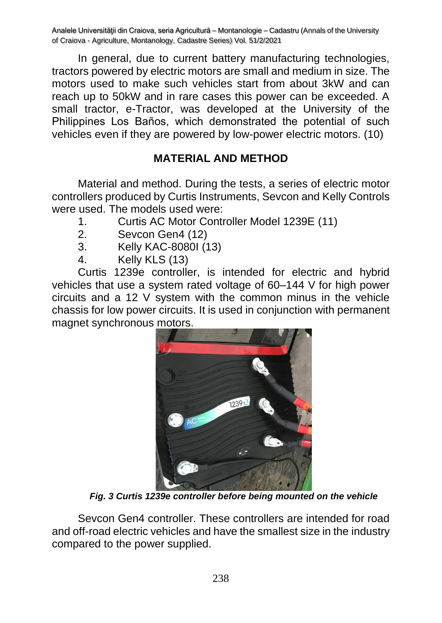In general, due to current battery manufacturing technologies, tractors powered by electric motors are small and medium in size. The motors used to make such vehicles start from about 3kW and can reach up to 50kW and in rare cases this power can be exceeded. A small tractor, e-Tractor, was developed at the University of the Philippines Los Baños, which demonstrated the potential of such vehicles even if they are powered by low-power electric motors. (10)

## **MATERIAL AND METHOD**

Material and method. During the tests, a series of electric motor controllers produced by Curtis Instruments, Sevcon and Kelly Controls were used. The models used were:

- 1. Curtis AC Motor Controller Model 1239E (11)
- 2. Sevcon Gen4 (12)
- 3. Kelly KAC-8080I (13)
- 4. Kelly KLS (13)

Curtis 1239e controller, is intended for electric and hybrid vehicles that use a system rated voltage of 60–144 V for high power circuits and a 12 V system with the common minus in the vehicle chassis for low power circuits. It is used in conjunction with permanent magnet synchronous motors.



*Fig. 3 Curtis 1239e controller before being mounted on the vehicle*

Sevcon Gen4 controller. These controllers are intended for road and off-road electric vehicles and have the smallest size in the industry compared to the power supplied.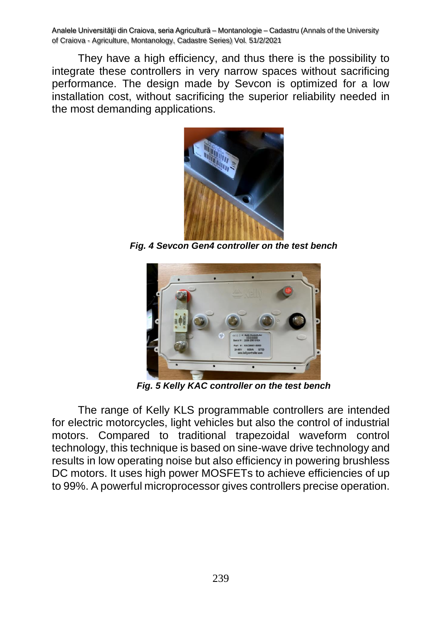They have a high efficiency, and thus there is the possibility to integrate these controllers in very narrow spaces without sacrificing performance. The design made by Sevcon is optimized for a low installation cost, without sacrificing the superior reliability needed in the most demanding applications.



*Fig. 4 Sevcon Gen4 controller on the test bench*



*Fig. 5 Kelly KAC controller on the test bench*

The range of Kelly KLS programmable controllers are intended for electric motorcycles, light vehicles but also the control of industrial motors. Compared to traditional trapezoidal waveform control technology, this technique is based on sine-wave drive technology and results in low operating noise but also efficiency in powering brushless DC motors. It uses high power MOSFETs to achieve efficiencies of up to 99%. A powerful microprocessor gives controllers precise operation.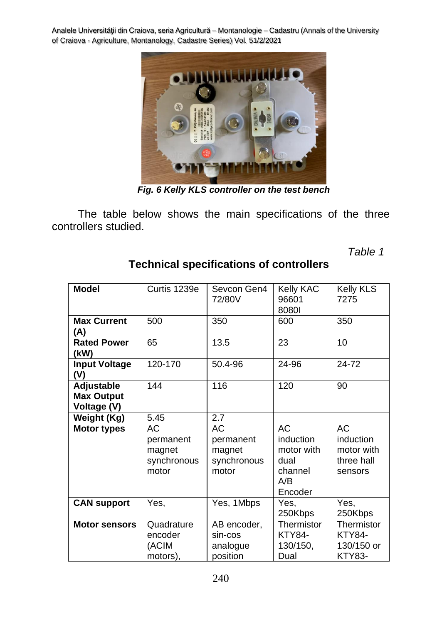

*Fig. 6 Kelly KLS controller on the test bench*

The table below shows the main specifications of the three controllers studied.

*Table 1*

| <b>Model</b>                                   | Curtis 1239e                                      | Sevcon Gen4<br>72/80V                             | <b>Kelly KAC</b><br>96601<br>80801                                        | Kelly KLS<br>7275                                          |
|------------------------------------------------|---------------------------------------------------|---------------------------------------------------|---------------------------------------------------------------------------|------------------------------------------------------------|
| <b>Max Current</b><br>(A)                      | 500                                               |                                                   | 600                                                                       | 350                                                        |
| <b>Rated Power</b><br>(kW)                     | 65                                                | 13.5                                              | 23                                                                        | 10                                                         |
| <b>Input Voltage</b><br>(V)                    | $120 - 170$                                       | 50.4-96                                           | 24-96                                                                     | 24-72                                                      |
| Adjustable<br><b>Max Output</b><br>Voltage (V) | 144                                               | 116                                               | 120                                                                       | 90                                                         |
| Weight (Kg)                                    | 5.45                                              | 2.7                                               |                                                                           |                                                            |
| <b>Motor types</b>                             | АC<br>permanent<br>magnet<br>synchronous<br>motor | АC<br>permanent<br>magnet<br>synchronous<br>motor | <b>AC</b><br>induction<br>motor with<br>dual<br>channel<br>A/B<br>Encoder | AC<br>induction<br>motor with<br>three hall<br>sensors     |
| <b>CAN support</b>                             | Yes,                                              | Yes, 1Mbps                                        | Yes,<br>250Kbps                                                           | Yes,<br>250Kbps                                            |
| <b>Motor sensors</b>                           | Quadrature<br>encoder<br>(ACIM<br>motors),        | AB encoder,<br>sin-cos<br>analogue<br>position    | Thermistor<br><b>KTY84-</b><br>130/150,<br>Dual                           | Thermistor<br><b>KTY84-</b><br>130/150 or<br><b>KTY83-</b> |

## **Technical specifications of controllers**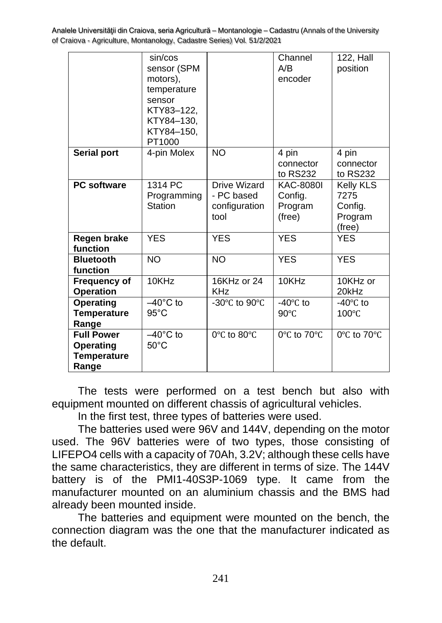|                                                                      | sin/cos<br>sensor (SPM<br>motors),<br>temperature<br>sensor<br>KTY83-122,<br>KTY84-130,<br>KTY84-150,<br>PT1000 |                                                            | Channel<br>A/B<br>encoder                        | 122, Hall<br>position                                    |
|----------------------------------------------------------------------|-----------------------------------------------------------------------------------------------------------------|------------------------------------------------------------|--------------------------------------------------|----------------------------------------------------------|
| <b>Serial port</b>                                                   | 4-pin Molex                                                                                                     | <b>NO</b>                                                  | 4 pin<br>connector<br>to RS232                   | 4 pin<br>connector<br>to RS232                           |
| <b>PC</b> software                                                   | 1314 PC<br>Programming<br><b>Station</b>                                                                        | <b>Drive Wizard</b><br>- PC based<br>configuration<br>tool | <b>KAC-8080I</b><br>Config.<br>Program<br>(free) | <b>Kelly KLS</b><br>7275<br>Config.<br>Program<br>(free) |
| <b>Regen brake</b><br>function                                       | <b>YES</b>                                                                                                      | <b>YES</b>                                                 | <b>YES</b>                                       | <b>YES</b>                                               |
| <b>Bluetooth</b><br>function                                         | <b>NO</b>                                                                                                       | <b>NO</b>                                                  | <b>YES</b>                                       | <b>YES</b>                                               |
| <b>Frequency of</b><br><b>Operation</b>                              | 10KHz                                                                                                           | 16KHz or 24<br><b>KHz</b>                                  | 10KHz                                            | 10KHz or<br>20kHz                                        |
| <b>Operating</b><br><b>Temperature</b><br>Range                      | $-40^{\circ}$ C to<br>$95^{\circ}$ C                                                                            | -30 $\degree$ C to 90 $\degree$ C                          | $-40^{\circ}$ C to<br>$90^{\circ}$ C             | $-40^{\circ}$ C to<br>100°C                              |
| <b>Full Power</b><br><b>Operating</b><br><b>Temperature</b><br>Range | $-40^{\circ}$ C to<br>$50^{\circ}$ C                                                                            | 0°C to 80°C                                                | 0°C to 70°C                                      | 0°C to 70°C                                              |

The tests were performed on a test bench but also with equipment mounted on different chassis of agricultural vehicles.

In the first test, three types of batteries were used.

The batteries used were 96V and 144V, depending on the motor used. The 96V batteries were of two types, those consisting of LIFEPO4 cells with a capacity of 70Ah, 3.2V; although these cells have the same characteristics, they are different in terms of size. The 144V battery is of the PMI1-40S3P-1069 type. It came from the manufacturer mounted on an aluminium chassis and the BMS had already been mounted inside.

The batteries and equipment were mounted on the bench, the connection diagram was the one that the manufacturer indicated as the default.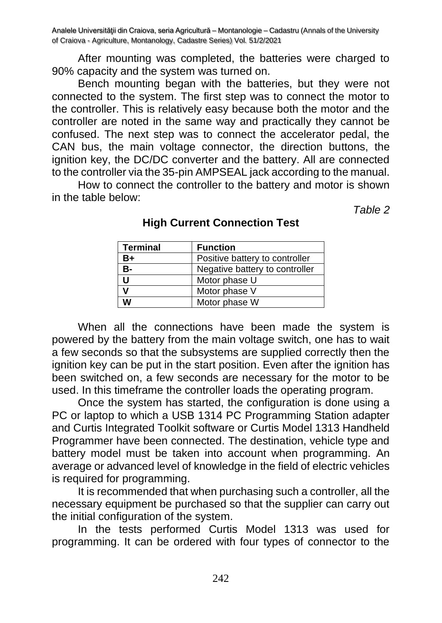After mounting was completed, the batteries were charged to 90% capacity and the system was turned on.

Bench mounting began with the batteries, but they were not connected to the system. The first step was to connect the motor to the controller. This is relatively easy because both the motor and the controller are noted in the same way and practically they cannot be confused. The next step was to connect the accelerator pedal, the CAN bus, the main voltage connector, the direction buttons, the ignition key, the DC/DC converter and the battery. All are connected to the controller via the 35-pin AMPSEAL jack according to the manual.

How to connect the controller to the battery and motor is shown in the table below:

*Table 2*

| <b>Terminal</b> | <b>Function</b>                |
|-----------------|--------------------------------|
| B+              | Positive battery to controller |
| в-              | Negative battery to controller |
| U               | Motor phase U                  |
|                 | Motor phase V                  |
| w               | Motor phase W                  |

#### **High Current Connection Test**

When all the connections have been made the system is powered by the battery from the main voltage switch, one has to wait a few seconds so that the subsystems are supplied correctly then the ignition key can be put in the start position. Even after the ignition has been switched on, a few seconds are necessary for the motor to be used. In this timeframe the controller loads the operating program.

Once the system has started, the configuration is done using a PC or laptop to which a USB 1314 PC Programming Station adapter and Curtis Integrated Toolkit software or Curtis Model 1313 Handheld Programmer have been connected. The destination, vehicle type and battery model must be taken into account when programming. An average or advanced level of knowledge in the field of electric vehicles is required for programming.

It is recommended that when purchasing such a controller, all the necessary equipment be purchased so that the supplier can carry out the initial configuration of the system.

In the tests performed Curtis Model 1313 was used for programming. It can be ordered with four types of connector to the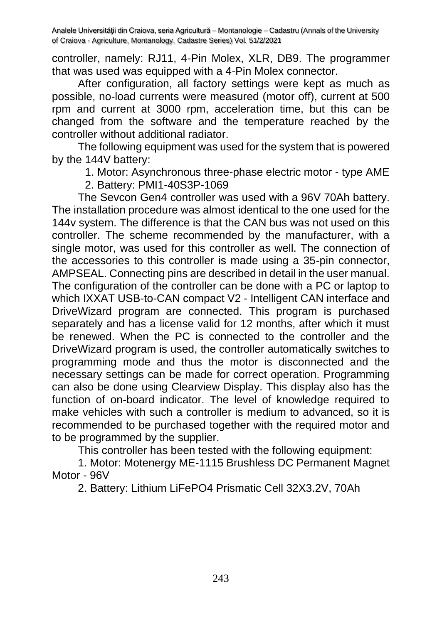controller, namely: RJ11, 4-Pin Molex, XLR, DB9. The programmer that was used was equipped with a 4-Pin Molex connector.

After configuration, all factory settings were kept as much as possible, no-load currents were measured (motor off), current at 500 rpm and current at 3000 rpm, acceleration time, but this can be changed from the software and the temperature reached by the controller without additional radiator.

The following equipment was used for the system that is powered by the 144V battery:

1. Motor: Asynchronous three-phase electric motor - type AME

2. Battery: PMI1-40S3P-1069

The Sevcon Gen4 controller was used with a 96V 70Ah battery. The installation procedure was almost identical to the one used for the 144v system. The difference is that the CAN bus was not used on this controller. The scheme recommended by the manufacturer, with a single motor, was used for this controller as well. The connection of the accessories to this controller is made using a 35-pin connector, AMPSEAL. Connecting pins are described in detail in the user manual. The configuration of the controller can be done with a PC or laptop to which IXXAT USB-to-CAN compact V2 - Intelligent CAN interface and DriveWizard program are connected. This program is purchased separately and has a license valid for 12 months, after which it must be renewed. When the PC is connected to the controller and the DriveWizard program is used, the controller automatically switches to programming mode and thus the motor is disconnected and the necessary settings can be made for correct operation. Programming can also be done using Clearview Display. This display also has the function of on-board indicator. The level of knowledge required to make vehicles with such a controller is medium to advanced, so it is recommended to be purchased together with the required motor and to be programmed by the supplier.

This controller has been tested with the following equipment:

1. Motor: Motenergy ME-1115 Brushless DC Permanent Magnet Motor - 96V

2. Battery: Lithium LiFePO4 Prismatic Cell 32X3.2V, 70Ah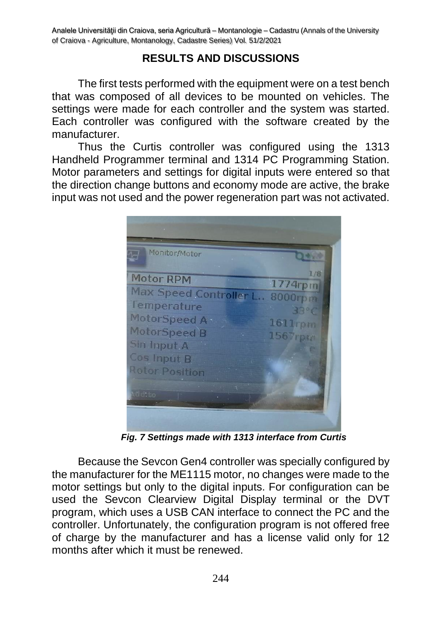### **RESULTS AND DISCUSSIONS**

The first tests performed with the equipment were on a test bench that was composed of all devices to be mounted on vehicles. The settings were made for each controller and the system was started. Each controller was configured with the software created by the manufacturer.

Thus the Curtis controller was configured using the 1313 Handheld Programmer terminal and 1314 PC Programming Station. Motor parameters and settings for digital inputs were entered so that the direction change buttons and economy mode are active, the brake input was not used and the power regeneration part was not activated.

| Monitor/Motor                                                                                                                                                |                                                        |
|--------------------------------------------------------------------------------------------------------------------------------------------------------------|--------------------------------------------------------|
| <b>Motor RPM</b><br>Max Speed Controller L<br>Temperature<br>MotorSpeed A -<br>MotorSpeed B<br>Sin Input A<br>Cos Input B<br><b>Rotor Position</b><br>tdd to | 1/8<br>1774rpm<br>8000rpm<br>33°<br>1611rpm<br>1567rpm |
|                                                                                                                                                              |                                                        |

*Fig. 7 Settings made with 1313 interface from Curtis*

Because the Sevcon Gen4 controller was specially configured by the manufacturer for the ME1115 motor, no changes were made to the motor settings but only to the digital inputs. For configuration can be used the Sevcon Clearview Digital Display terminal or the DVT program, which uses a USB CAN interface to connect the PC and the controller. Unfortunately, the configuration program is not offered free of charge by the manufacturer and has a license valid only for 12 months after which it must be renewed.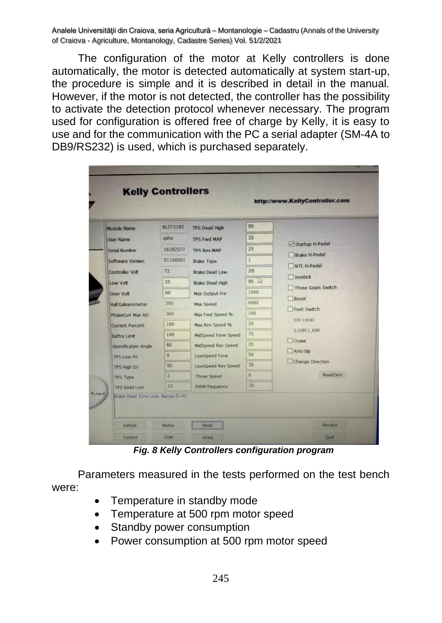The configuration of the motor at Kelly controllers is done automatically, the motor is detected automatically at system start-up, the procedure is simple and it is described in detail in the manual. However, if the motor is not detected, the controller has the possibility to activate the detection protocol whenever necessary. The program used for configuration is offered free of charge by Kelly, it is easy to use and for the communication with the PC a serial adapter (SM-4A to DB9/RS232) is used, which is purchased separately.

| <b>Module Name</b>               | KL57218S        | <b>TPS Dead High</b> | 95              |                      |
|----------------------------------|-----------------|----------------------|-----------------|----------------------|
| <b>User Name</b>                 | gshe            | <b>TPS Fwd MAP</b>   | 35              |                      |
| Serial Number                    | 16182577        | <b>TPS Rev MAP</b>   | 25              | Startup H-Pedel      |
| Software Version                 | 01100001        | <b>Brake Type</b>    | $\mathbf{1}$    | <b>Brake H-Pedel</b> |
| <b>Controller Volt</b>           | 72              | Brake Dead Low       | 20 <sub>i</sub> | NTL H-Pedel          |
| Low Volt                         | 33              | Brake Dead High      | 95              | Joystick             |
| <b>Over Volt</b>                 | 60              | Max Output Fre       | 1000            | Three Gears Switch   |
| Hall Galvanometer                | 300             | Max Speed            | 4000            | Boost                |
| PhaseCurr Max AD                 | 360             | Max Fwd Speed %      | 100             | Foot Switch          |
| <b>Current Percent</b>           | 100             | Max Rev Speed %      | 35              | SW Level             |
| <b>Battry Limit</b>              | 100             | MidSpeed Forw Speed  | 75              | O.HIM: L.KIM         |
| <b>Identification Angle</b>      | 85              | MidSpeed Rev Speed   | 35              | Cruse                |
| <b>TPS Low Err</b>               | $\overline{0}$  | <b>LowSpeed Forw</b> | 50              | Anti-Sip             |
| <b>TPS High Err</b>              | 95              | LowSpeed Rev Speed   | 35              | Change Direction     |
| <b>TPS Type</b>                  | $\overline{2}$  | Three Speed          | Ű.              | ReadZero             |
| <b>TPS Dead Low</b>              | $\overline{22}$ | <b>PWM</b> frequency | 20              |                      |
| Brake Dead Zone Low, Range: 5~40 |                 |                      |                 |                      |

*Fig. 8 Kelly Controllers configuration program*

Parameters measured in the tests performed on the test bench were:

- Temperature in standby mode
- Temperature at 500 rpm motor speed
- Standby power consumption
- Power consumption at 500 rpm motor speed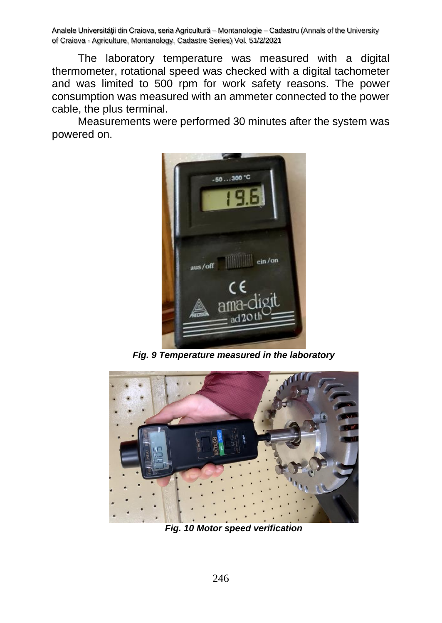The laboratory temperature was measured with a digital thermometer, rotational speed was checked with a digital tachometer and was limited to 500 rpm for work safety reasons. The power consumption was measured with an ammeter connected to the power cable, the plus terminal.

Measurements were performed 30 minutes after the system was powered on.



*Fig. 9 Temperature measured in the laboratory*



*Fig. 10 Motor speed verification*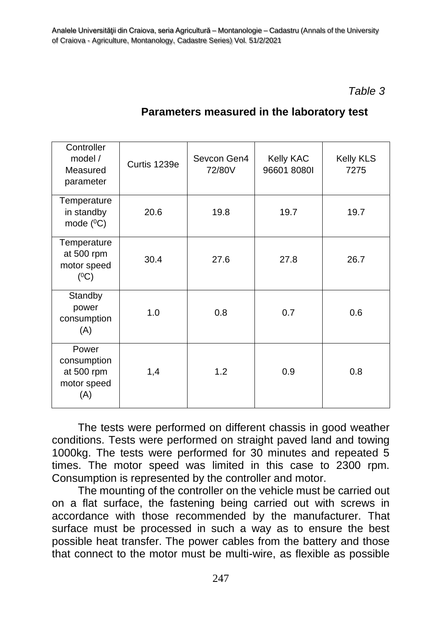### *Table 3*

| Controller<br>model $/$<br>Measured<br>parameter         | Curtis 1239e | Sevcon Gen4<br>72/80V | Kelly KAC<br>96601 80801 | Kelly KLS<br>7275 |
|----------------------------------------------------------|--------------|-----------------------|--------------------------|-------------------|
| Temperature<br>in standby<br>mode $(^{0}C)$              | 20.6         | 19.8                  | 19.7                     | 19.7              |
| Temperature<br>at 500 rpm<br>motor speed<br>$(^{0}C)$    | 30.4         | 27.6                  | 27.8                     | 26.7              |
| Standby<br>power<br>consumption<br>(A)                   | 1.0          | 0.8                   | 0.7                      | 0.6               |
| Power<br>consumption<br>at 500 rpm<br>motor speed<br>(A) | 1,4          | 1.2                   | 0.9                      | 0.8               |

## **Parameters measured in the laboratory test**

The tests were performed on different chassis in good weather conditions. Tests were performed on straight paved land and towing 1000kg. The tests were performed for 30 minutes and repeated 5 times. The motor speed was limited in this case to 2300 rpm. Consumption is represented by the controller and motor.

The mounting of the controller on the vehicle must be carried out on a flat surface, the fastening being carried out with screws in accordance with those recommended by the manufacturer. That surface must be processed in such a way as to ensure the best possible heat transfer. The power cables from the battery and those that connect to the motor must be multi-wire, as flexible as possible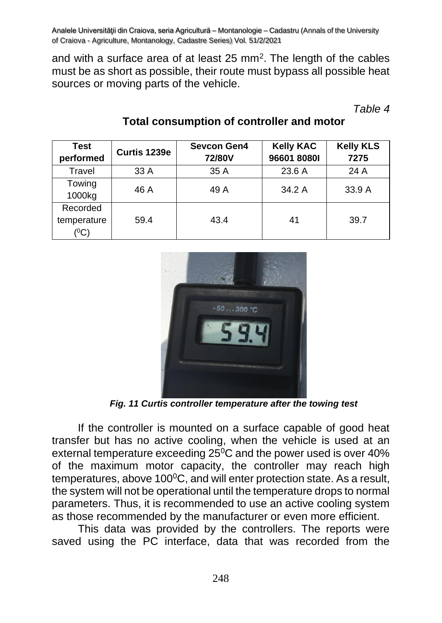and with a surface area of at least 25 mm<sup>2</sup>. The length of the cables must be as short as possible, their route must bypass all possible heat sources or moving parts of the vehicle.

*Table 4*

| <b>Test</b>                                   | Curtis 1239e | <b>Sevcon Gen4</b> | <b>Kelly KAC</b> | <b>Kelly KLS</b> |
|-----------------------------------------------|--------------|--------------------|------------------|------------------|
| performed                                     |              | 72/80V             | 96601 80801      | 7275             |
| Travel                                        | 33 A         | 35A                | 23.6 A           | 24 A             |
| Towing<br>1000kg                              | 46 A         | 49 A               | 34.2 A           | 33.9A            |
| Recorded<br>temperature<br>$(^{0}\mathrm{C})$ | 59.4         | 43.4               | 41               | 39.7             |

## **Total consumption of controller and motor**



*Fig. 11 Curtis controller temperature after the towing test*

If the controller is mounted on a surface capable of good heat transfer but has no active cooling, when the vehicle is used at an external temperature exceeding 25<sup>0</sup>C and the power used is over 40% of the maximum motor capacity, the controller may reach high temperatures, above  $100^{\circ}$ C, and will enter protection state. As a result, the system will not be operational until the temperature drops to normal parameters. Thus, it is recommended to use an active cooling system as those recommended by the manufacturer or even more efficient.

This data was provided by the controllers. The reports were saved using the PC interface, data that was recorded from the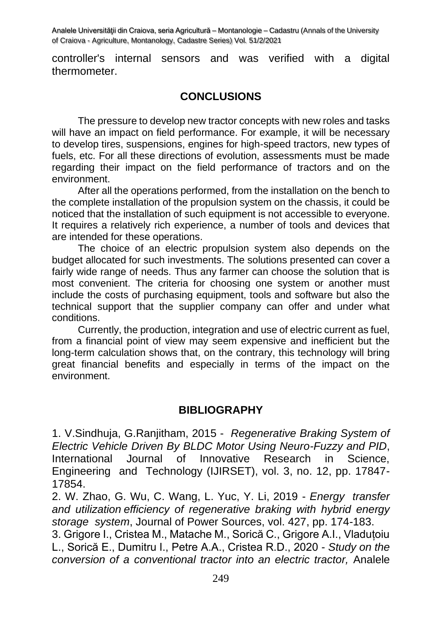controller's internal sensors and was verified with a digital thermometer.

#### **CONCLUSIONS**

The pressure to develop new tractor concepts with new roles and tasks will have an impact on field performance. For example, it will be necessary to develop tires, suspensions, engines for high-speed tractors, new types of fuels, etc. For all these directions of evolution, assessments must be made regarding their impact on the field performance of tractors and on the environment.

After all the operations performed, from the installation on the bench to the complete installation of the propulsion system on the chassis, it could be noticed that the installation of such equipment is not accessible to everyone. It requires a relatively rich experience, a number of tools and devices that are intended for these operations.

The choice of an electric propulsion system also depends on the budget allocated for such investments. The solutions presented can cover a fairly wide range of needs. Thus any farmer can choose the solution that is most convenient. The criteria for choosing one system or another must include the costs of purchasing equipment, tools and software but also the technical support that the supplier company can offer and under what conditions.

Currently, the production, integration and use of electric current as fuel, from a financial point of view may seem expensive and inefficient but the long-term calculation shows that, on the contrary, this technology will bring great financial benefits and especially in terms of the impact on the environment.

#### **BIBLIOGRAPHY**

1. V.Sindhuja, G.Ranjitham, 2015 - *Regenerative Braking System of Electric Vehicle Driven By BLDC Motor Using Neuro-Fuzzy and PID*, International Journal of Innovative Research in Science, Engineering and Technology (IJIRSET), vol. 3, no. 12, pp. 17847- 17854.

2. W. Zhao, G. Wu, C. Wang, L. Yuc, Y. Li, 2019 - *Energy transfer and utilization efficiency of regenerative braking with hybrid energy storage system*, Journal of Power Sources, vol. 427, pp. 174-183.

3. Grigore I., Cristea M., Matache M., Sorică C., Grigore A.I., Vladuțoiu L., Sorică E., Dumitru I., Petre A.A., Cristea R.D., 2020 - *Study on the conversion of a conventional tractor into an electric tractor,* Analele